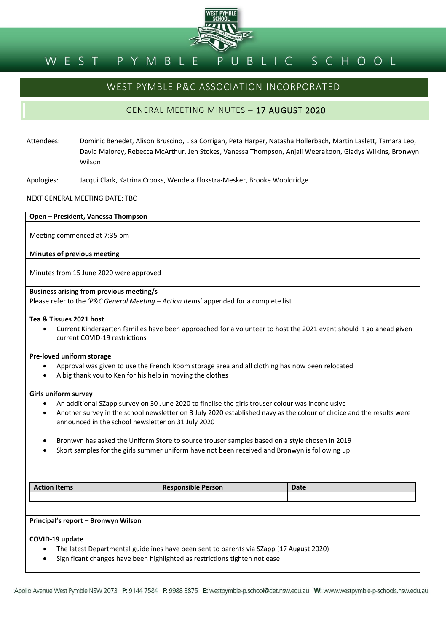

#### BLIC SCHOOL PYMBL EST

# WEST PYMBLE P&C ASSOCIATION INCORPORATED

## GENERAL MEETING MINUTES – 17 AUGUST 2020

- Attendees: Dominic Benedet, Alison Bruscino, Lisa Corrigan, Peta Harper, Natasha Hollerbach, Martin Laslett, Tamara Leo, David Malorey, Rebecca McArthur, Jen Stokes, Vanessa Thompson, Anjali Weerakoon, Gladys Wilkins, Bronwyn Wilson
- Apologies: Jacqui Clark, Katrina Crooks, Wendela Flokstra-Mesker, Brooke Wooldridge

NEXT GENERAL MEETING DATE: TBC

#### **Open – President, Vanessa Thompson**

Meeting commenced at 7:35 pm

### **Minutes of previous meeting**

Minutes from 15 June 2020 were approved

## **Business arising from previous meeting/s**

Please refer to the *'P&C General Meeting – Action Items*' appended for a complete list

#### **Tea & Tissues 2021 host**

• Current Kindergarten families have been approached for a volunteer to host the 2021 event should it go ahead given current COVID-19 restrictions

#### **Pre-loved uniform storage**

- Approval was given to use the French Room storage area and all clothing has now been relocated
- A big thank you to Ken for his help in moving the clothes

#### **Girls uniform survey**

- An additional SZapp survey on 30 June 2020 to finalise the girls trouser colour was inconclusive
- Another survey in the school newsletter on 3 July 2020 established navy as the colour of choice and the results were announced in the school newsletter on 31 July 2020
- Bronwyn has asked the Uniform Store to source trouser samples based on a style chosen in 2019
- Skort samples for the girls summer uniform have not been received and Bronwyn is following up

| <b>Action Items</b>                 | <b>Responsible Person</b> | Date |
|-------------------------------------|---------------------------|------|
|                                     |                           |      |
|                                     |                           |      |
| Principal's report - Bronwyn Wilson |                           |      |
| COVID-19 update                     |                           |      |

- The latest Departmental guidelines have been sent to parents via SZapp (17 August 2020)
- Significant changes have been highlighted as restrictions tighten not ease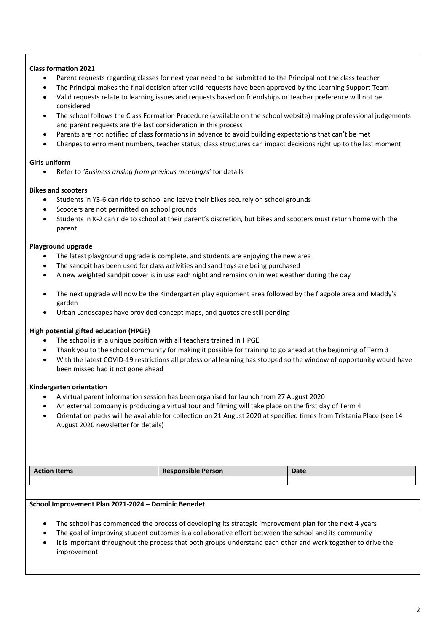## **Class formation 2021**

- Parent requests regarding classes for next year need to be submitted to the Principal not the class teacher
- The Principal makes the final decision after valid requests have been approved by the Learning Support Team
- Valid requests relate to learning issues and requests based on friendships or teacher preference will not be considered
- The school follows the Class Formation Procedure (available on the school website) making professional judgements and parent requests are the last consideration in this process
- Parents are not notified of class formations in advance to avoid building expectations that can't be met
- Changes to enrolment numbers, teacher status, class structures can impact decisions right up to the last moment

## **Girls uniform**

• Refer to *'Business arising from previous meeting/s'* for details

## **Bikes and scooters**

- Students in Y3-6 can ride to school and leave their bikes securely on school grounds
- Scooters are not permitted on school grounds
- Students in K-2 can ride to school at their parent's discretion, but bikes and scooters must return home with the parent

## **Playground upgrade**

- The latest playground upgrade is complete, and students are enjoying the new area
- The sandpit has been used for class activities and sand toys are being purchased
- A new weighted sandpit cover is in use each night and remains on in wet weather during the day
- The next upgrade will now be the Kindergarten play equipment area followed by the flagpole area and Maddy's garden
- Urban Landscapes have provided concept maps, and quotes are still pending

## **High potential gifted education (HPGE)**

- The school is in a unique position with all teachers trained in HPGE
- Thank you to the school community for making it possible for training to go ahead at the beginning of Term 3
- With the latest COVID-19 restrictions all professional learning has stopped so the window of opportunity would have been missed had it not gone ahead

## **Kindergarten orientation**

- A virtual parent information session has been organised for launch from 27 August 2020
- An external company is producing a virtual tour and filming will take place on the first day of Term 4
- Orientation packs will be available for collection on 21 August 2020 at specified times from Tristania Place (see 14 August 2020 newsletter for details)

| <b>Action Items</b> | <b>Responsible Person</b> | <b>Date</b> |
|---------------------|---------------------------|-------------|
|                     |                           |             |

## **School Improvement Plan 2021-2024 – Dominic Benedet**

- The school has commenced the process of developing its strategic improvement plan for the next 4 years
- The goal of improving student outcomes is a collaborative effort between the school and its community
- It is important throughout the process that both groups understand each other and work together to drive the improvement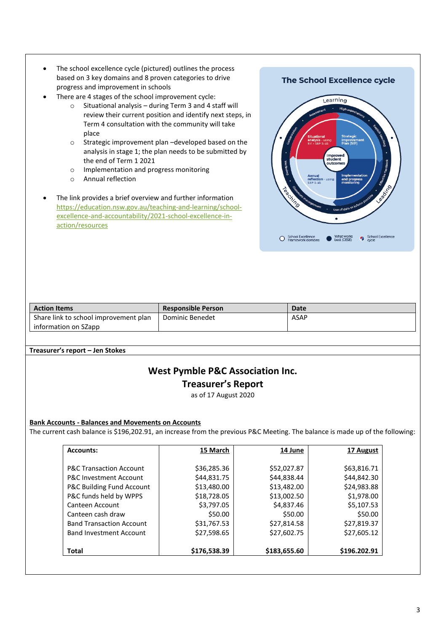- The school excellence cycle (pictured) outlines the process based on 3 key domains and 8 proven categories to drive progress and improvement in schools
- There are 4 stages of the school improvement cycle:
	- o Situational analysis during Term 3 and 4 staff will review their current position and identify next steps, in Term 4 consultation with the community will take place
	- o Strategic improvement plan –developed based on the analysis in stage 1; the plan needs to be submitted by the end of Term 1 2021
	- o Implementation and progress monitoring
	- o Annual reflection
- The link provides a brief overview and further information [https://education.nsw.gov.au/teaching-and-learning/school](https://education.nsw.gov.au/teaching-and-learning/school-excellence-and-accountability/2021-school-excellence-in-action/resources)[excellence-and-accountability/2021-school-excellence-in](https://education.nsw.gov.au/teaching-and-learning/school-excellence-and-accountability/2021-school-excellence-in-action/resources)[action/resources](https://education.nsw.gov.au/teaching-and-learning/school-excellence-and-accountability/2021-school-excellence-in-action/resources)

## **The School Excellence cycle**



| <b>Action Items</b>                   | <b>Responsible Person</b> | <b>Date</b> |
|---------------------------------------|---------------------------|-------------|
| Share link to school improvement plan | Dominic Benedet           | ASAP        |
| information on SZapp                  |                           |             |

**Treasurer's report – Jen Stokes**

# **West Pymble P&C Association Inc. Treasurer's Report**

as of 17 August 2020

## **Bank Accounts - Balances and Movements on Accounts**

The current cash balance is \$196,202.91, an increase from the previous P&C Meeting. The balance is made up of the following:

| <b>Accounts:</b>                   | 15 March     | <b>14 June</b> | 17 August    |
|------------------------------------|--------------|----------------|--------------|
|                                    |              |                |              |
| <b>P&amp;C Transaction Account</b> | \$36,285.36  | \$52,027.87    | \$63,816.71  |
| <b>P&amp;C Investment Account</b>  | \$44,831.75  | \$44,838.44    | \$44,842.30  |
| P&C Building Fund Account          | \$13,480.00  | \$13,482.00    | \$24,983.88  |
| P&C funds held by WPPS             | \$18,728.05  | \$13,002.50    | \$1,978.00   |
| Canteen Account                    | \$3,797.05   | \$4,837.46     | \$5,107.53   |
| Canteen cash draw                  | \$50.00      | \$50.00        | \$50.00      |
| <b>Band Transaction Account</b>    | \$31,767.53  | \$27,814.58    | \$27,819.37  |
| <b>Band Investment Account</b>     | \$27,598.65  | \$27,602.75    | \$27,605.12  |
|                                    |              |                |              |
| Total                              | \$176,538.39 | \$183,655.60   | \$196.202.91 |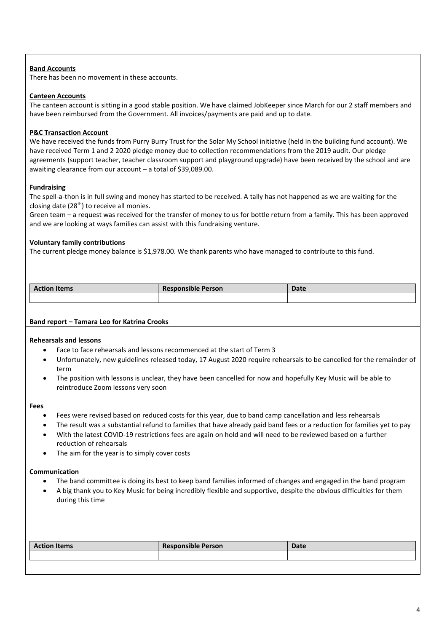## **Band Accounts**

There has been no movement in these accounts.

## **Canteen Accounts**

The canteen account is sitting in a good stable position. We have claimed JobKeeper since March for our 2 staff members and have been reimbursed from the Government. All invoices/payments are paid and up to date.

## **P&C Transaction Account**

We have received the funds from Purry Burry Trust for the Solar My School initiative (held in the building fund account). We have received Term 1 and 2 2020 pledge money due to collection recommendations from the 2019 audit. Our pledge agreements (support teacher, teacher classroom support and playground upgrade) have been received by the school and are awaiting clearance from our account – a total of \$39,089.00.

## **Fundraising**

The spell-a-thon is in full swing and money has started to be received. A tally has not happened as we are waiting for the closing date (28<sup>th</sup>) to receive all monies.

Green team – a request was received for the transfer of money to us for bottle return from a family. This has been approved and we are looking at ways families can assist with this fundraising venture.

## **Voluntary family contributions**

The current pledge money balance is \$1,978.00. We thank parents who have managed to contribute to this fund.

| <b>Action Items</b> | <b>Responsible Person</b> | <b>Date</b> |
|---------------------|---------------------------|-------------|
|                     |                           |             |

## **Rehearsals and lessons**

- Face to face rehearsals and lessons recommenced at the start of Term 3
- Unfortunately, new guidelines released today, 17 August 2020 require rehearsals to be cancelled for the remainder of term
- The position with lessons is unclear, they have been cancelled for now and hopefully Key Music will be able to reintroduce Zoom lessons very soon

### **Fees**

- Fees were revised based on reduced costs for this year, due to band camp cancellation and less rehearsals
- The result was a substantial refund to families that have already paid band fees or a reduction for families yet to pay
- With the latest COVID-19 restrictions fees are again on hold and will need to be reviewed based on a further reduction of rehearsals
- The aim for the year is to simply cover costs

## **Communication**

- The band committee is doing its best to keep band families informed of changes and engaged in the band program
- A big thank you to Key Music for being incredibly flexible and supportive, despite the obvious difficulties for them during this time

| <b>Action Items</b> | <b>Responsible Person</b> | <b>Date</b> |
|---------------------|---------------------------|-------------|
|                     |                           |             |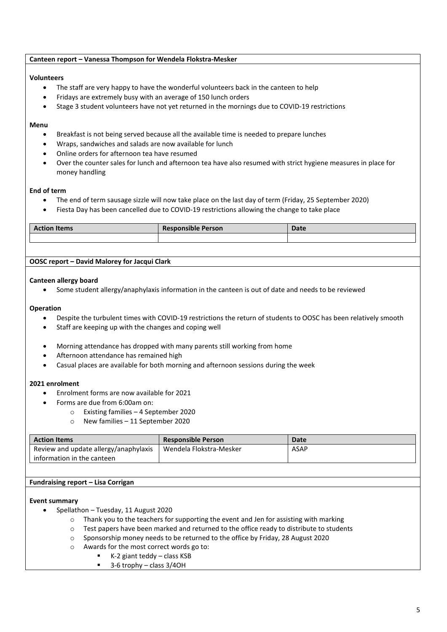## **Canteen report – Vanessa Thompson for Wendela Flokstra-Mesker**

## **Volunteers**

- The staff are very happy to have the wonderful volunteers back in the canteen to help
- Fridays are extremely busy with an average of 150 lunch orders
- Stage 3 student volunteers have not yet returned in the mornings due to COVID-19 restrictions

## **Menu**

- Breakfast is not being served because all the available time is needed to prepare lunches
- Wraps, sandwiches and salads are now available for lunch
- Online orders for afternoon tea have resumed
- Over the counter sales for lunch and afternoon tea have also resumed with strict hygiene measures in place for money handling

## **End of term**

- The end of term sausage sizzle will now take place on the last day of term (Friday, 25 September 2020)
- Fiesta Day has been cancelled due to COVID-19 restrictions allowing the change to take place

| <b>Action Items</b> | <b>Responsible Person</b> | <b>Date</b> |
|---------------------|---------------------------|-------------|
|                     |                           |             |
|                     |                           |             |

## **OOSC report – David Malorey for Jacqui Clark**

### **Canteen allergy board**

• Some student allergy/anaphylaxis information in the canteen is out of date and needs to be reviewed

## **Operation**

- Despite the turbulent times with COVID-19 restrictions the return of students to OOSC has been relatively smooth
- Staff are keeping up with the changes and coping well
- Morning attendance has dropped with many parents still working from home
- Afternoon attendance has remained high
- Casual places are available for both morning and afternoon sessions during the week

## **2021 enrolment**

- Enrolment forms are now available for 2021
- Forms are due from 6:00am on:
	- o Existing families 4 September 2020
	- o New families 11 September 2020

| <b>Action Items</b>                   | <b>Responsible Person</b> | Date        |
|---------------------------------------|---------------------------|-------------|
| Review and update allergy/anaphylaxis | Wendela Flokstra-Mesker   | <b>ASAP</b> |
| information in the canteen            |                           |             |

## **Fundraising report – Lisa Corrigan**

## **Event summary**

- Spellathon Tuesday, 11 August 2020
	- o Thank you to the teachers for supporting the event and Jen for assisting with marking
	- o Test papers have been marked and returned to the office ready to distribute to students
	- o Sponsorship money needs to be returned to the office by Friday, 28 August 2020
	- o Awards for the most correct words go to:
		- $\blacksquare$  K-2 giant teddy class KSB
		- 3-6 trophy class 3/4OH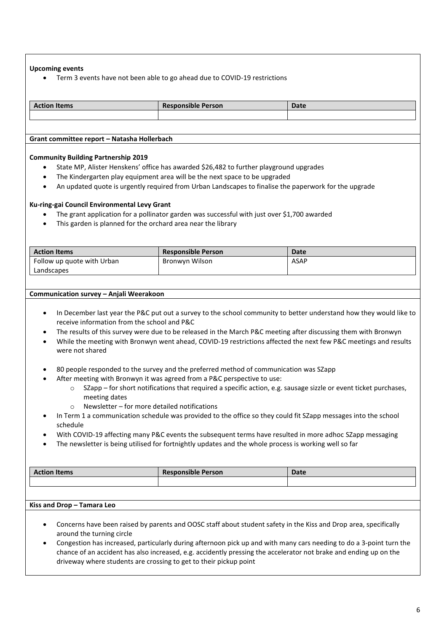## **Upcoming events**

• Term 3 events have not been able to go ahead due to COVID-19 restrictions

| <b>Action Items</b>                         | <b>Responsible Person</b> | <b>Date</b> |
|---------------------------------------------|---------------------------|-------------|
|                                             |                           |             |
|                                             |                           |             |
|                                             |                           |             |
| Grant committee report – Natasha Hollerbach |                           |             |

**Community Building Partnership 2019**

- State MP, Alister Henskens' office has awarded \$26,482 to further playground upgrades
- The Kindergarten play equipment area will be the next space to be upgraded
- An updated quote is urgently required from Urban Landscapes to finalise the paperwork for the upgrade

## **Ku-ring-gai Council Environmental Levy Grant**

- The grant application for a pollinator garden was successful with just over \$1,700 awarded
- This garden is planned for the orchard area near the library

| <b>Action Items</b>        | <b>Responsible Person</b> | Date        |
|----------------------------|---------------------------|-------------|
| Follow up quote with Urban | Bronwyn Wilson            | <b>ASAP</b> |
| Landscapes                 |                           |             |

### **Communication survey – Anjali Weerakoon**

- In December last year the P&C put out a survey to the school community to better understand how they would like to receive information from the school and P&C
- The results of this survey were due to be released in the March P&C meeting after discussing them with Bronwyn
- While the meeting with Bronwyn went ahead, COVID-19 restrictions affected the next few P&C meetings and results were not shared
- 80 people responded to the survey and the preferred method of communication was SZapp
	- After meeting with Bronwyn it was agreed from a P&C perspective to use:
		- o SZapp for short notifications that required a specific action, e.g. sausage sizzle or event ticket purchases, meeting dates
		- $\circ$  Newsletter for more detailed notifications
- In Term 1 a communication schedule was provided to the office so they could fit SZapp messages into the school schedule
- With COVID-19 affecting many P&C events the subsequent terms have resulted in more adhoc SZapp messaging
- The newsletter is being utilised for fortnightly updates and the whole process is working well so far

| <b>Action Items</b> | <b>Responsible Person</b> | <b>Date</b> |
|---------------------|---------------------------|-------------|
|                     |                           |             |
|                     |                           |             |

## **Kiss and Drop – Tamara Leo**

- Concerns have been raised by parents and OOSC staff about student safety in the Kiss and Drop area, specifically around the turning circle
- Congestion has increased, particularly during afternoon pick up and with many cars needing to do a 3-point turn the chance of an accident has also increased, e.g. accidently pressing the accelerator not brake and ending up on the driveway where students are crossing to get to their pickup point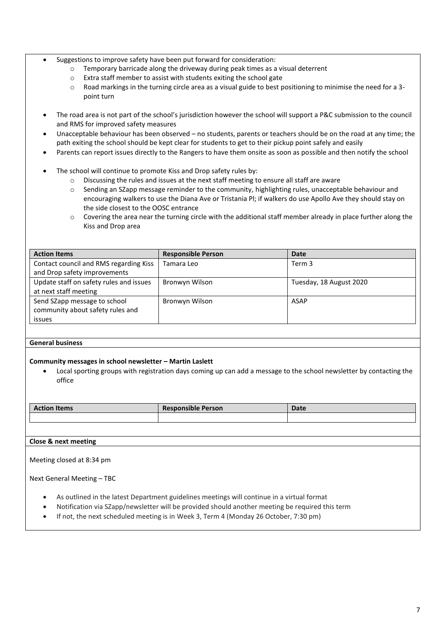- Suggestions to improve safety have been put forward for consideration:
	- o Temporary barricade along the driveway during peak times as a visual deterrent
	- o Extra staff member to assist with students exiting the school gate
	- o Road markings in the turning circle area as a visual guide to best positioning to minimise the need for a 3 point turn
- The road area is not part of the school's jurisdiction however the school will support a P&C submission to the council and RMS for improved safety measures
- Unacceptable behaviour has been observed no students, parents or teachers should be on the road at any time; the path exiting the school should be kept clear for students to get to their pickup point safely and easily
- Parents can report issues directly to the Rangers to have them onsite as soon as possible and then notify the school
- The school will continue to promote Kiss and Drop safety rules by:
	- o Discussing the rules and issues at the next staff meeting to ensure all staff are aware
	- o Sending an SZapp message reminder to the community, highlighting rules, unacceptable behaviour and encouraging walkers to use the Diana Ave or Tristania Pl; if walkers do use Apollo Ave they should stay on the side closest to the OOSC entrance
	- $\circ$  Covering the area near the turning circle with the additional staff member already in place further along the Kiss and Drop area

| <b>Action Items</b>                     | <b>Responsible Person</b> | <b>Date</b>             |
|-----------------------------------------|---------------------------|-------------------------|
| Contact council and RMS regarding Kiss  | Tamara Leo                | Term 3                  |
| and Drop safety improvements            |                           |                         |
| Update staff on safety rules and issues | Bronwyn Wilson            | Tuesday, 18 August 2020 |
| at next staff meeting                   |                           |                         |
| Send SZapp message to school            | Bronwyn Wilson            | <b>ASAP</b>             |
| community about safety rules and        |                           |                         |
| issues                                  |                           |                         |

## **General business**

## **Community messages in school newsletter – Martin Laslett**

• Local sporting groups with registration days coming up can add a message to the school newsletter by contacting the office

| on Items<br>$-1.000$<br>. | $\cdots$<br><b>Responsible Person</b> | Dale |
|---------------------------|---------------------------------------|------|
|                           |                                       |      |

## **Close & next meeting**

Meeting closed at 8:34 pm

Next General Meeting – TBC

- As outlined in the latest Department guidelines meetings will continue in a virtual format
- Notification via SZapp/newsletter will be provided should another meeting be required this term
- If not, the next scheduled meeting is in Week 3, Term 4 (Monday 26 October, 7:30 pm)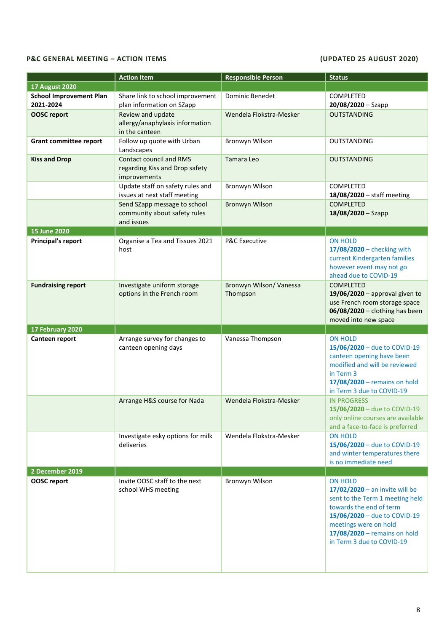## **P&C GENERAL MEETING – ACTION ITEMS (UPDATED 25 AUGUST 2020)**

|                                             | <b>Action Item</b>                                                         | <b>Responsible Person</b>           | <b>Status</b>                                                                                                                                                                                                                          |
|---------------------------------------------|----------------------------------------------------------------------------|-------------------------------------|----------------------------------------------------------------------------------------------------------------------------------------------------------------------------------------------------------------------------------------|
| <b>17 August 2020</b>                       |                                                                            |                                     |                                                                                                                                                                                                                                        |
| <b>School Improvement Plan</b><br>2021-2024 | Share link to school improvement<br>plan information on SZapp              | <b>Dominic Benedet</b>              | <b>COMPLETED</b><br>$20/08/2020 -$ Szapp                                                                                                                                                                                               |
| <b>OOSC report</b>                          | Review and update<br>allergy/anaphylaxis information<br>in the canteen     | Wendela Flokstra-Mesker             | <b>OUTSTANDING</b>                                                                                                                                                                                                                     |
| <b>Grant committee report</b>               | Follow up quote with Urban<br>Landscapes                                   | Bronwyn Wilson                      | <b>OUTSTANDING</b>                                                                                                                                                                                                                     |
| <b>Kiss and Drop</b>                        | Contact council and RMS<br>regarding Kiss and Drop safety<br>improvements  | Tamara Leo                          | <b>OUTSTANDING</b>                                                                                                                                                                                                                     |
|                                             | Update staff on safety rules and<br>issues at next staff meeting           | Bronwyn Wilson                      | <b>COMPLETED</b><br>18/08/2020 - staff meeting                                                                                                                                                                                         |
|                                             | Send SZapp message to school<br>community about safety rules<br>and issues | Bronwyn Wilson                      | <b>COMPLETED</b><br>$18/08/2020 -$ Szapp                                                                                                                                                                                               |
| <b>15 June 2020</b>                         |                                                                            |                                     |                                                                                                                                                                                                                                        |
| <b>Principal's report</b>                   | Organise a Tea and Tissues 2021<br>host                                    | <b>P&amp;C Executive</b>            | <b>ON HOLD</b><br>$17/08/2020$ - checking with<br>current Kindergarten families<br>however event may not go<br>ahead due to COVID-19                                                                                                   |
| <b>Fundraising report</b>                   | Investigate uniform storage<br>options in the French room                  | Bronwyn Wilson/ Vanessa<br>Thompson | <b>COMPLETED</b><br>$19/06/2020$ - approval given to<br>use French room storage space<br>06/08/2020 - clothing has been<br>moved into new space                                                                                        |
| 17 February 2020                            |                                                                            |                                     |                                                                                                                                                                                                                                        |
| Canteen report                              | Arrange survey for changes to<br>canteen opening days                      | Vanessa Thompson                    | <b>ON HOLD</b><br>15/06/2020 - due to COVID-19<br>canteen opening have been<br>modified and will be reviewed<br>in Term 3<br>17/08/2020 - remains on hold<br>in Term 3 due to COVID-19                                                 |
|                                             | Arrange H&S course for Nada                                                | Wendela Flokstra-Mesker             | <b>IN PROGRESS</b><br>15/06/2020 – due to COVID-19<br>only online courses are available<br>and a face-to-face is preferred                                                                                                             |
|                                             | Investigate esky options for milk<br>deliveries                            | Wendela Flokstra-Mesker             | <b>ON HOLD</b><br>15/06/2020 - due to COVID-19<br>and winter temperatures there<br>is no immediate need                                                                                                                                |
| 2 December 2019                             |                                                                            |                                     |                                                                                                                                                                                                                                        |
| <b>OOSC</b> report                          | Invite OOSC staff to the next<br>school WHS meeting                        | Bronwyn Wilson                      | <b>ON HOLD</b><br>$17/02/2020$ – an invite will be<br>sent to the Term 1 meeting held<br>towards the end of term<br>15/06/2020 - due to COVID-19<br>meetings were on hold<br>17/08/2020 - remains on hold<br>in Term 3 due to COVID-19 |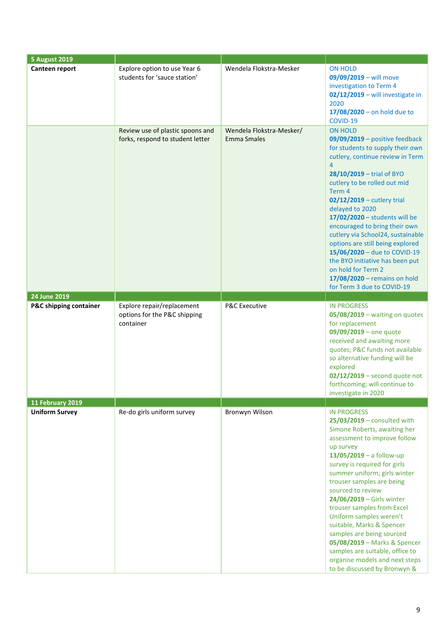| <b>5 August 2019</b>   |                                                                         |                                                |                                                                                                                                                                                                                                                                                                                                                                                                                                                                                                                                                                        |
|------------------------|-------------------------------------------------------------------------|------------------------------------------------|------------------------------------------------------------------------------------------------------------------------------------------------------------------------------------------------------------------------------------------------------------------------------------------------------------------------------------------------------------------------------------------------------------------------------------------------------------------------------------------------------------------------------------------------------------------------|
| Canteen report         | Explore option to use Year 6<br>students for 'sauce station'            | Wendela Flokstra-Mesker                        | <b>ON HOLD</b><br>09/09/2019 - will move<br>investigation to Term 4<br>02/12/2019 - will investigate in<br>2020<br>$17/08/2020 -$ on hold due to<br>COVID-19                                                                                                                                                                                                                                                                                                                                                                                                           |
|                        | Review use of plastic spoons and<br>forks, respond to student letter    | Wendela Flokstra-Mesker/<br><b>Emma Smales</b> | <b>ON HOLD</b><br>$09/09/2019$ – positive feedback<br>for students to supply their own<br>cutlery, continue review in Term<br>$\overline{4}$<br>28/10/2019 - trial of BYO<br>cutlery to be rolled out mid<br>Term 4<br>02/12/2019 - cutlery trial<br>delayed to 2020<br>17/02/2020 - students will be<br>encouraged to bring their own<br>cutlery via School24, sustainable<br>options are still being explored<br>15/06/2020 - due to COVID-19<br>the BYO initiative has been put<br>on hold for Term 2<br>17/08/2020 - remains on hold<br>for Term 3 due to COVID-19 |
| 24 June 2019           |                                                                         |                                                |                                                                                                                                                                                                                                                                                                                                                                                                                                                                                                                                                                        |
| P&C shipping container | Explore repair/replacement<br>options for the P&C shipping<br>container | P&C Executive                                  | <b>IN PROGRESS</b><br>$05/08/2019$ – waiting on quotes<br>for replacement<br>$09/09/2019$ – one quote<br>received and awaiting more<br>quotes; P&C funds not available<br>so alternative funding will be<br>explored<br>$02/12/2019$ – second quote not<br>forthcoming; will continue to<br>investigate in 2020                                                                                                                                                                                                                                                        |
| 11 February 2019       |                                                                         |                                                |                                                                                                                                                                                                                                                                                                                                                                                                                                                                                                                                                                        |
| <b>Uniform Survey</b>  | Re-do girls uniform survey                                              | Bronwyn Wilson                                 | <b>IN PROGRESS</b><br>$25/03/2019$ – consulted with<br>Simone Roberts, awaiting her<br>assessment to improve follow<br>up survey<br>$13/05/2019 - a$ follow-up<br>survey is required for girls<br>summer uniform; girls winter<br>trouser samples are being<br>sourced to review<br>24/06/2019 - Girls winter<br>trouser samples from Excel<br>Uniform samples weren't<br>suitable, Marks & Spencer<br>samples are being sourced<br>05/08/2019 - Marks & Spencer<br>samples are suitable, office to<br>organise models and next steps<br>to be discussed by Bronwyn &  |